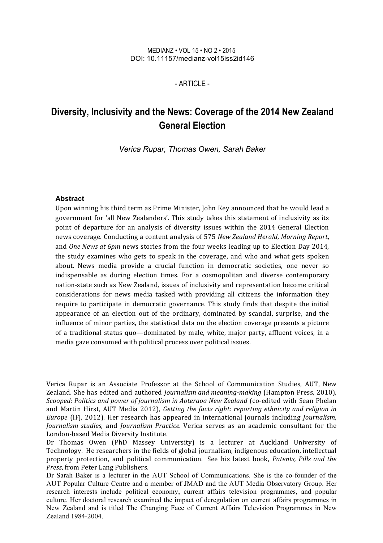#### MEDIANZ • VOL 15 • NO 2 • 2015 DOI: 10.11157/medianz-vol15iss2id146

#### $-$  ARTICLE $-$

# **Diversity, Inclusivity and the News: Coverage of the 2014 New Zealand General Election**

*Verica Rupar, Thomas Owen, Sarah Baker*

#### **Abstract**

Upon winning his third term as Prime Minister, John Key announced that he would lead a government for 'all New Zealanders'. This study takes this statement of inclusivity as its point of departure for an analysis of diversity issues within the 2014 General Election news coverage. Conducting a content analysis of 575 *New Zealand Herald*, *Morning Report*, and *One News at 6pm* news stories from the four weeks leading up to Election Day 2014, the study examines who gets to speak in the coverage, and who and what gets spoken about. News media provide a crucial function in democratic societies, one never so indispensable as during election times. For a cosmopolitan and diverse contemporary nation-state such as New Zealand, issues of inclusivity and representation become critical considerations for news media tasked with providing all citizens the information they require to participate in democratic governance. This study finds that despite the initial appearance of an election out of the ordinary, dominated by scandal, surprise, and the influence of minor parties, the statistical data on the election coverage presents a picture of a traditional status quo—dominated by male, white, major party, affluent voices, in a media gaze consumed with political process over political issues.

Verica Rupar is an Associate Professor at the School of Communication Studies, AUT, New Zealand. She has edited and authored *Journalism and meaning-making* (Hampton Press, 2010), *Scooped: Politics and power of journalism in Aoteraoa New Zealand* (co-edited with Sean Phelan and Martin Hirst, AUT Media 2012), *Getting the facts right: reporting ethnicity and religion in Europe* (IFJ, 2012). Her research has appeared in international journals including *Journalism*, *Journalism studies*, and *Journalism Practice*. Verica serves as an academic consultant for the London-based Media Diversity Institute.

Dr Thomas Owen (PhD Massey University) is a lecturer at Auckland University of Technology. He researchers in the fields of global journalism, indigenous education, intellectual property protection, and political communication. See his latest book, *Patents*, *Pills and the Press*, from Peter Lang Publishers.

Dr Sarah Baker is a lecturer in the AUT School of Communications. She is the co-founder of the AUT Popular Culture Centre and a member of JMAD and the AUT Media Observatory Group. Her research interests include political economy, current affairs television programmes, and popular culture. Her doctoral research examined the impact of deregulation on current affairs programmes in New Zealand and is titled The Changing Face of Current Affairs Television Programmes in New Zealand 1984-2004.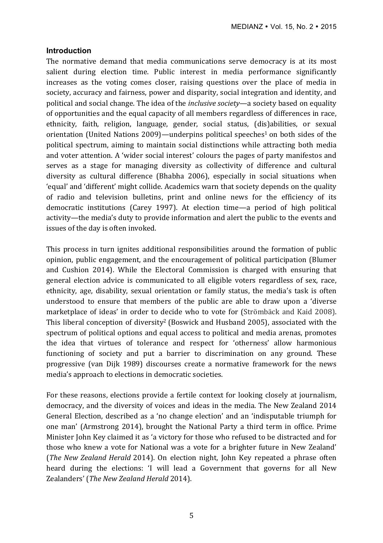#### **Introduction**

The normative demand that media communications serve democracy is at its most salient during election time. Public interest in media performance significantly increases as the voting comes closer, raising questions over the place of media in society, accuracy and fairness, power and disparity, social integration and identity, and political and social change. The idea of the *inclusive society*—a society based on equality of opportunities and the equal capacity of all members regardless of differences in race, ethnicity, faith, religion, language, gender, social status, (dis)abilities, or sexual orientation (United Nations 2009)—underpins political speeches<sup>1</sup> on both sides of the political spectrum, aiming to maintain social distinctions while attracting both media and voter attention. A 'wider social interest' colours the pages of party manifestos and serves as a stage for managing diversity as collectivity of difference and cultural diversity as cultural difference (Bhabha 2006), especially in social situations when 'equal' and 'different' might collide. Academics warn that society depends on the quality of radio and television bulletins, print and online news for the efficiency of its democratic institutions (Carey 1997). At election time—a period of high political activity—the media's duty to provide information and alert the public to the events and issues of the day is often invoked.

This process in turn ignites additional responsibilities around the formation of public opinion, public engagement, and the encouragement of political participation (Blumer and Cushion 2014). While the Electoral Commission is charged with ensuring that general election advice is communicated to all eligible voters regardless of sex, race, ethnicity, age, disability, sexual orientation or family status, the media's task is often understood to ensure that members of the public are able to draw upon a 'diverse marketplace of ideas' in order to decide who to vote for (Strömbäck and Kaid 2008). This liberal conception of diversity<sup>2</sup> (Boswick and Husband 2005), associated with the spectrum of political options and equal access to political and media arenas, promotes the idea that virtues of tolerance and respect for 'otherness' allow harmonious functioning of society and put a barrier to discrimination on any ground. These progressive (van Dijk 1989) discourses create a normative framework for the news media's approach to elections in democratic societies.

For these reasons, elections provide a fertile context for looking closely at journalism, democracy, and the diversity of voices and ideas in the media. The New Zealand 2014 General Election, described as a 'no change election' and an 'indisputable triumph for one man' (Armstrong 2014), brought the National Party a third term in office. Prime Minister John Key claimed it as 'a victory for those who refused to be distracted and for those who knew a vote for National was a vote for a brighter future in New Zealand' (*The New Zealand Herald* 2014). On election night, John Key repeated a phrase often heard during the elections: 'I will lead a Government that governs for all New Zealanders' (*The New Zealand Herald* 2014).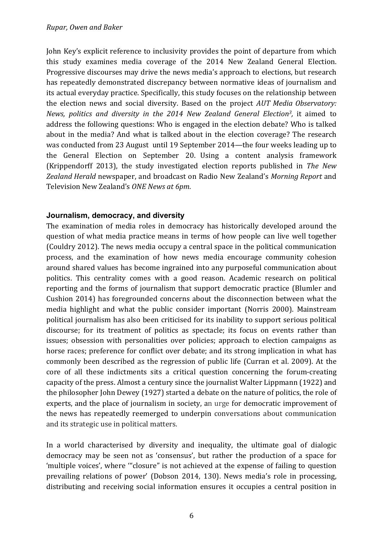John Key's explicit reference to inclusivity provides the point of departure from which this study examines media coverage of the 2014 New Zealand General Election. Progressive discourses may drive the news media's approach to elections, but research has repeatedly demonstrated discrepancy between normative ideas of journalism and its actual everyday practice. Specifically, this study focuses on the relationship between the election news and social diversity. Based on the project *AUT Media Observatory: News, politics and diversity in the 2014 New Zealand General Election<sup>3</sup>, it aimed to* address the following questions: Who is engaged in the election debate? Who is talked about in the media? And what is talked about in the election coverage? The research was conducted from 23 August until 19 September 2014—the four weeks leading up to the General Election on September 20. Using a content analysis framework (Krippendorff 2013), the study investigated election reports published in *The New* Zealand Herald newspaper, and broadcast on Radio New Zealand's Morning Report and Television New Zealand's *ONE News at 6pm*.

# **Journalism, democracy, and diversity**

The examination of media roles in democracy has historically developed around the question of what media practice means in terms of how people can live well together (Couldry 2012). The news media occupy a central space in the political communication process, and the examination of how news media encourage community cohesion around shared values has become ingrained into any purposeful communication about politics. This centrality comes with a good reason. Academic research on political reporting and the forms of journalism that support democratic practice (Blumler and Cushion 2014) has foregrounded concerns about the disconnection between what the media highlight and what the public consider important (Norris 2000). Mainstream political journalism has also been criticised for its inability to support serious political discourse; for its treatment of politics as spectacle; its focus on events rather than issues; obsession with personalities over policies; approach to election campaigns as horse races; preference for conflict over debate; and its strong implication in what has commonly been described as the regression of public life (Curran et al. 2009). At the core of all these indictments sits a critical question concerning the forum-creating capacity of the press. Almost a century since the journalist Walter Lippmann (1922) and the philosopher John Dewey (1927) started a debate on the nature of politics, the role of experts, and the place of journalism in society, an urge for democratic improvement of the news has repeatedly reemerged to underpin conversations about communication and its strategic use in political matters.

In a world characterised by diversity and inequality, the ultimate goal of dialogic democracy may be seen not as 'consensus', but rather the production of a space for 'multiple voices', where "'closure" is not achieved at the expense of failing to question prevailing relations of power' (Dobson 2014, 130). News media's role in processing, distributing and receiving social information ensures it occupies a central position in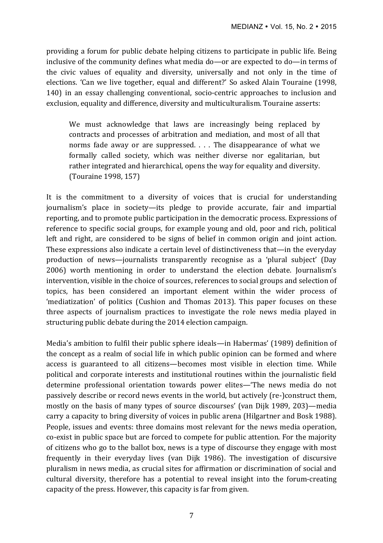providing a forum for public debate helping citizens to participate in public life. Being inclusive of the community defines what media do—or are expected to do—in terms of the civic values of equality and diversity, universally and not only in the time of elections. 'Can we live together, equal and different?' So asked Alain Touraine (1998, 140) in an essay challenging conventional, socio-centric approaches to inclusion and exclusion, equality and difference, diversity and multiculturalism. Touraine asserts:

We must acknowledge that laws are increasingly being replaced by contracts and processes of arbitration and mediation, and most of all that norms fade away or are suppressed.  $\ldots$  The disappearance of what we formally called society, which was neither diverse nor egalitarian, but rather integrated and hierarchical, opens the way for equality and diversity. (Touraine 1998, 157)

It is the commitment to a diversity of voices that is crucial for understanding journalism's place in society-its pledge to provide accurate, fair and impartial reporting, and to promote public participation in the democratic process. Expressions of reference to specific social groups, for example young and old, poor and rich, political left and right, are considered to be signs of belief in common origin and joint action. These expressions also indicate a certain level of distinctiveness that—in the everyday production of news—journalists transparently recognise as a 'plural subject' (Day 2006) worth mentioning in order to understand the election debate. Journalism's intervention, visible in the choice of sources, references to social groups and selection of topics, has been considered an important element within the wider process of 'mediatization' of politics (Cushion and Thomas 2013). This paper focuses on these three aspects of journalism practices to investigate the role news media played in structuring public debate during the 2014 election campaign.

Media's ambition to fulfil their public sphere ideals—in Habermas' (1989) definition of the concept as a realm of social life in which public opinion can be formed and where access is guaranteed to all citizens—becomes most visible in election time. While political and corporate interests and institutional routines within the journalistic field determine professional orientation towards power elites—'The news media do not passively describe or record news events in the world, but actively (re-)construct them, mostly on the basis of many types of source discourses' (van Dijk 1989, 203)—media carry a capacity to bring diversity of voices in public arena (Hilgartner and Bosk 1988). People, issues and events: three domains most relevant for the news media operation, co-exist in public space but are forced to compete for public attention. For the majority of citizens who go to the ballot box, news is a type of discourse they engage with most frequently in their everyday lives (van Dijk 1986). The investigation of discursive pluralism in news media, as crucial sites for affirmation or discrimination of social and cultural diversity, therefore has a potential to reveal insight into the forum-creating capacity of the press. However, this capacity is far from given.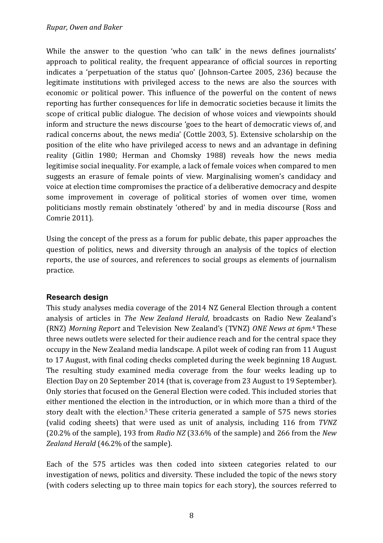While the answer to the question 'who can talk' in the news defines journalists' approach to political reality, the frequent appearance of official sources in reporting indicates a 'perpetuation of the status quo' (Johnson-Cartee 2005, 236) because the legitimate institutions with privileged access to the news are also the sources with economic or political power. This influence of the powerful on the content of news reporting has further consequences for life in democratic societies because it limits the scope of critical public dialogue. The decision of whose voices and viewpoints should inform and structure the news discourse 'goes to the heart of democratic views of, and radical concerns about, the news media' (Cottle 2003, 5). Extensive scholarship on the position of the elite who have privileged access to news and an advantage in defining reality (Gitlin 1980; Herman and Chomsky 1988) reveals how the news media legitimise social inequality. For example, a lack of female voices when compared to men suggests an erasure of female points of view. Marginalising women's candidacy and voice at election time compromises the practice of a deliberative democracy and despite some improvement in coverage of political stories of women over time, women politicians mostly remain obstinately 'othered' by and in media discourse (Ross and Comrie 2011).

Using the concept of the press as a forum for public debate, this paper approaches the question of politics, news and diversity through an analysis of the topics of election reports, the use of sources, and references to social groups as elements of journalism practice. 

# **Research design**

This study analyses media coverage of the 2014 NZ General Election through a content analysis of articles in *The New Zealand Herald*, broadcasts on Radio New Zealand's (RNZ) Morning Report and Television New Zealand's (TVNZ) ONE News at 6pm.<sup>4</sup> These three news outlets were selected for their audience reach and for the central space they occupy in the New Zealand media landscape. A pilot week of coding ran from 11 August to 17 August, with final coding checks completed during the week beginning 18 August. The resulting study examined media coverage from the four weeks leading up to Election Day on 20 September 2014 (that is, coverage from 23 August to 19 September). Only stories that focused on the General Election were coded. This included stories that either mentioned the election in the introduction, or in which more than a third of the story dealt with the election.<sup>5</sup> These criteria generated a sample of 575 news stories (valid coding sheets) that were used as unit of analysis, including 116 from *TVNZ* (20.2% of the sample), 193 from *Radio NZ* (33.6% of the sample) and 266 from the *New* Zealand Herald (46.2% of the sample).

Each of the 575 articles was then coded into sixteen categories related to our investigation of news, politics and diversity. These included the topic of the news story (with coders selecting up to three main topics for each story), the sources referred to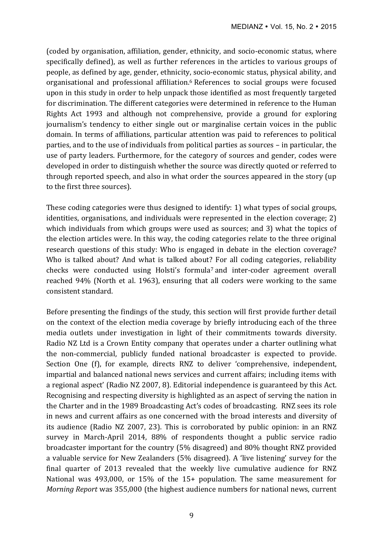(coded by organisation, affiliation, gender, ethnicity, and socio-economic status, where specifically defined), as well as further references in the articles to various groups of people, as defined by age, gender, ethnicity, socio-economic status, physical ability, and organisational and professional affiliation.<sup>6</sup> References to social groups were focused upon in this study in order to help unpack those identified as most frequently targeted for discrimination. The different categories were determined in reference to the Human Rights Act 1993 and although not comprehensive, provide a ground for exploring journalism's tendency to either single out or marginalise certain voices in the public domain. In terms of affiliations, particular attention was paid to references to political parties, and to the use of individuals from political parties as sources – in particular, the use of party leaders. Furthermore, for the category of sources and gender, codes were developed in order to distinguish whether the source was directly quoted or referred to through reported speech, and also in what order the sources appeared in the story (up to the first three sources).

These coding categories were thus designed to identify: 1) what types of social groups, identities, organisations, and individuals were represented in the election coverage; 2) which individuals from which groups were used as sources; and 3) what the topics of the election articles were. In this way, the coding categories relate to the three original research questions of this study: Who is engaged in debate in the election coverage? Who is talked about? And what is talked about? For all coding categories, reliability checks were conducted using Holsti's formula<sup>7</sup> and inter-coder agreement overall reached 94% (North et al. 1963), ensuring that all coders were working to the same consistent standard.

Before presenting the findings of the study, this section will first provide further detail on the context of the election media coverage by briefly introducing each of the three media outlets under investigation in light of their commitments towards diversity. Radio NZ Ltd is a Crown Entity company that operates under a charter outlining what the non-commercial, publicly funded national broadcaster is expected to provide. Section One (f), for example, directs RNZ to deliver 'comprehensive, independent, impartial and balanced national news services and current affairs; including items with a regional aspect' (Radio NZ 2007, 8). Editorial independence is guaranteed by this Act. Recognising and respecting diversity is highlighted as an aspect of serving the nation in the Charter and in the 1989 Broadcasting Act's codes of broadcasting. RNZ sees its role in news and current affairs as one concerned with the broad interests and diversity of its audience (Radio NZ 2007, 23). This is corroborated by public opinion: in an RNZ survey in March-April 2014, 88% of respondents thought a public service radio broadcaster important for the country (5% disagreed) and 80% thought RNZ provided a valuable service for New Zealanders (5% disagreed). A 'live listening' survey for the final quarter of 2013 revealed that the weekly live cumulative audience for RNZ National was  $493,000$ , or  $15\%$  of the  $15+$  population. The same measurement for *Morning Report* was 355,000 (the highest audience numbers for national news, current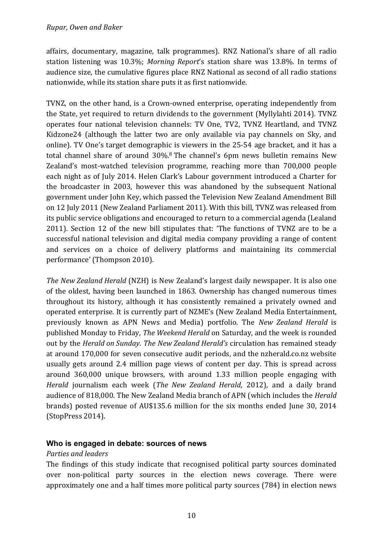affairs, documentary, magazine, talk programmes). RNZ National's share of all radio station listening was 10.3%; *Morning Report's* station share was 13.8%. In terms of audience size, the cumulative figures place RNZ National as second of all radio stations nationwide, while its station share puts it as first nationwide.

TVNZ, on the other hand, is a Crown-owned enterprise, operating independently from the State, yet required to return dividends to the government (Myllylahti 2014). TVNZ operates four national television channels: TV One, TV2, TVNZ Heartland, and TVNZ Kidzone24 (although the latter two are only available via pay channels on Sky, and online). TV One's target demographic is viewers in the 25-54 age bracket, and it has a total channel share of around  $30\%$ .<sup>8</sup> The channel's 6pm news bulletin remains New Zealand's most-watched television programme, reaching more than 700,000 people each night as of July 2014. Helen Clark's Labour government introduced a Charter for the broadcaster in 2003, however this was abandoned by the subsequent National government under John Key, which passed the Television New Zealand Amendment Bill on 12 July 2011 (New Zealand Parliament 2011). With this bill, TVNZ was released from its public service obligations and encouraged to return to a commercial agenda (Lealand 2011). Section 12 of the new bill stipulates that: 'The functions of TVNZ are to be a successful national television and digital media company providing a range of content and services on a choice of delivery platforms and maintaining its commercial performance' (Thompson 2010).

*The New Zealand Herald* (NZH) is New Zealand's largest daily newspaper. It is also one of the oldest, having been launched in 1863. Ownership has changed numerous times throughout its history, although it has consistently remained a privately owned and operated enterprise. It is currently part of NZME's (New Zealand Media Entertainment, previously known as APN News and Media) portfolio. The *New Zealand Herald* is published Monday to Friday, *The Weekend Herald* on Saturday, and the week is rounded out by the *Herald on Sunday. The New Zealand Herald's* circulation has remained steady at around 170,000 for seven consecutive audit periods, and the nzherald.co.nz website usually gets around 2.4 million page views of content per day. This is spread across around 360,000 unique browsers, with around 1.33 million people engaging with *Herald* journalism each week (*The New Zealand Herald, 2012*), and a daily brand audience of 818,000. The New Zealand Media branch of APN (which includes the *Herald* brands) posted revenue of AU\$135.6 million for the six months ended June 30, 2014 (StopPress 2014).

# **Who is engaged in debate: sources of news**

## *Parties and leaders*

The findings of this study indicate that recognised political party sources dominated over non-political party sources in the election news coverage. There were approximately one and a half times more political party sources (784) in election news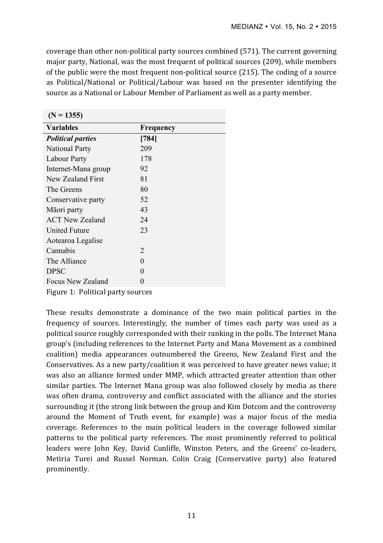coverage than other non-political party sources combined (571). The current governing major party, National, was the most frequent of political sources (209), while members of the public were the most frequent non-political source  $(215)$ . The coding of a source as Political/National or Political/Labour was based on the presenter identifying the source as a National or Labour Member of Parliament as well as a party member.

| $(N = 1355)$             |                  |
|--------------------------|------------------|
| <b>Variables</b>         | <b>Frequency</b> |
| <b>Political parties</b> | [784]            |
| <b>National Party</b>    | 209              |
| Labour Party             | 178              |
| Internet-Mana group      | 92               |
| New Zealand First        | 81               |
| The Greens               | 80               |
| Conservative party       | 52               |
| Māori party              | 43               |
| <b>ACT New Zealand</b>   | 24               |
| United Future            | 23               |
| Aotearoa Legalise        |                  |
| Cannabis                 | 2                |
| The Alliance             | $\mathbf{0}$     |
| <b>DPSC</b>              | $\mathbf{0}$     |
| Focus New Zealand        | 0                |

Figure 1: Political party sources

These results demonstrate a dominance of the two main political parties in the frequency of sources. Interestingly, the number of times each party was used as a political source roughly corresponded with their ranking in the polls. The Internet Mana group's (including references to the Internet Party and Mana Movement as a combined coalition) media appearances outnumbered the Greens, New Zealand First and the Conservatives. As a new party/coalition it was perceived to have greater news value; it was also an alliance formed under MMP, which attracted greater attention than other similar parties. The Internet Mana group was also followed closely by media as there was often drama, controversy and conflict associated with the alliance and the stories surrounding it (the strong link between the group and Kim Dotcom and the controversy around the Moment of Truth event, for example) was a major focus of the media coverage. References to the main political leaders in the coverage followed similar patterns to the political party references. The most prominently referred to political leaders were John Key, David Cunliffe, Winston Peters, and the Greens' co-leaders, Metiria Turei and Russel Norman. Colin Craig (Conservative party) also featured prominently.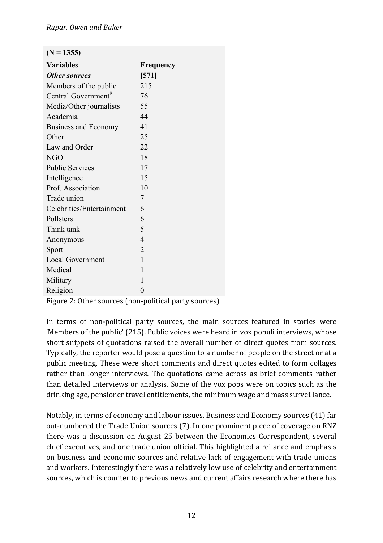| <b>Variables</b>                | Frequency      |
|---------------------------------|----------------|
| <b>Other sources</b>            | [571]          |
| Members of the public           | 215            |
| Central Government <sup>9</sup> | 76             |
| Media/Other journalists         | 55             |
| Academia                        | 44             |
| <b>Business and Economy</b>     | 41             |
| Other                           | 25             |
| Law and Order                   | 22             |
| <b>NGO</b>                      | 18             |
| <b>Public Services</b>          | 17             |
| Intelligence                    | 15             |
| Prof. Association               | 10             |
| Trade union                     | 7              |
| Celebrities/Entertainment       | 6              |
| Pollsters                       | 6              |
| Think tank                      | 5              |
| Anonymous                       | $\overline{4}$ |
| Sport                           | $\overline{2}$ |
| <b>Local Government</b>         | 1              |
| Medical                         | 1              |
| Military                        | 1              |
| Religion                        | $\overline{0}$ |

Figure 2: Other sources (non-political party sources)

In terms of non-political party sources, the main sources featured in stories were 'Members of the public' (215). Public voices were heard in vox populi interviews, whose short snippets of quotations raised the overall number of direct quotes from sources. Typically, the reporter would pose a question to a number of people on the street or at a public meeting. These were short comments and direct quotes edited to form collages rather than longer interviews. The quotations came across as brief comments rather than detailed interviews or analysis. Some of the vox pops were on topics such as the drinking age, pensioner travel entitlements, the minimum wage and mass surveillance.

Notably, in terms of economy and labour issues, Business and Economy sources (41) far out-numbered the Trade Union sources (7). In one prominent piece of coverage on RNZ there was a discussion on August 25 between the Economics Correspondent, several chief executives, and one trade union official. This highlighted a reliance and emphasis on business and economic sources and relative lack of engagement with trade unions and workers. Interestingly there was a relatively low use of celebrity and entertainment sources, which is counter to previous news and current affairs research where there has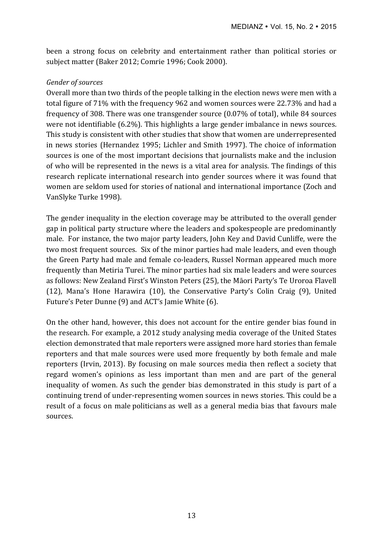been a strong focus on celebrity and entertainment rather than political stories or subject matter (Baker 2012; Comrie 1996; Cook 2000).

# *Gender of sources*

Overall more than two thirds of the people talking in the election news were men with a total figure of 71% with the frequency 962 and women sources were 22.73% and had a frequency of 308. There was one transgender source  $(0.07\%$  of total), while 84 sources were not identifiable  $(6.2\%)$ . This highlights a large gender imbalance in news sources. This study is consistent with other studies that show that women are underrepresented in news stories (Hernandez 1995; Lichler and Smith 1997). The choice of information sources is one of the most important decisions that journalists make and the inclusion of who will be represented in the news is a vital area for analysis. The findings of this research replicate international research into gender sources where it was found that women are seldom used for stories of national and international importance (Zoch and VanSlyke Turke 1998).

The gender inequality in the election coverage may be attributed to the overall gender gap in political party structure where the leaders and spokespeople are predominantly male. For instance, the two major party leaders, John Key and David Cunliffe, were the two most frequent sources. Six of the minor parties had male leaders, and even though the Green Party had male and female co-leaders, Russel Norman appeared much more frequently than Metiria Turei. The minor parties had six male leaders and were sources as follows: New Zealand First's Winston Peters (25), the Māori Party's Te Uroroa Flavell (12), Mana's Hone Harawira  $(10)$ , the Conservative Party's Colin Craig  $(9)$ , United Future's Peter Dunne (9) and ACT's Jamie White (6).

On the other hand, however, this does not account for the entire gender bias found in the research. For example, a 2012 study analysing media coverage of the United States election demonstrated that male reporters were assigned more hard stories than female reporters and that male sources were used more frequently by both female and male reporters (Irvin, 2013). By focusing on male sources media then reflect a society that regard women's opinions as less important than men and are part of the general inequality of women. As such the gender bias demonstrated in this study is part of a continuing trend of under-representing women sources in news stories. This could be a result of a focus on male politicians as well as a general media bias that favours male sources.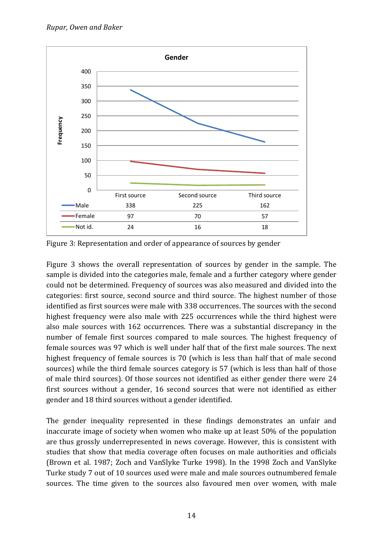

Figure 3: Representation and order of appearance of sources by gender

Figure 3 shows the overall representation of sources by gender in the sample. The sample is divided into the categories male, female and a further category where gender could not be determined. Frequency of sources was also measured and divided into the categories: first source, second source and third source. The highest number of those identified as first sources were male with 338 occurrences. The sources with the second highest frequency were also male with 225 occurrences while the third highest were also male sources with 162 occurrences. There was a substantial discrepancy in the number of female first sources compared to male sources. The highest frequency of female sources was 97 which is well under half that of the first male sources. The next highest frequency of female sources is 70 (which is less than half that of male second sources) while the third female sources category is 57 (which is less than half of those of male third sources). Of those sources not identified as either gender there were 24 first sources without a gender, 16 second sources that were not identified as either gender and 18 third sources without a gender identified.

The gender inequality represented in these findings demonstrates an unfair and inaccurate image of society when women who make up at least 50% of the population are thus grossly underrepresented in news coverage. However, this is consistent with studies that show that media coverage often focuses on male authorities and officials (Brown et al. 1987; Zoch and VanSlyke Turke 1998). In the 1998 Zoch and VanSlyke Turke study 7 out of 10 sources used were male and male sources outnumbered female sources. The time given to the sources also favoured men over women, with male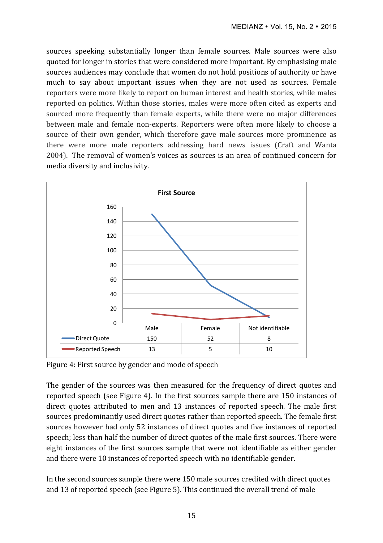sources speeking substantially longer than female sources. Male sources were also quoted for longer in stories that were considered more important. By emphasising male sources audiences may conclude that women do not hold positions of authority or have much to say about important issues when they are not used as sources. Female reporters were more likely to report on human interest and health stories, while males reported on politics. Within those stories, males were more often cited as experts and sourced more frequently than female experts, while there were no major differences between male and female non-experts. Reporters were often more likely to choose a source of their own gender, which therefore gave male sources more prominence as there were more male reporters addressing hard news issues (Craft and Wanta 2004). The removal of women's voices as sources is an area of continued concern for media diversity and inclusivity.



Figure 4: First source by gender and mode of speech

The gender of the sources was then measured for the frequency of direct quotes and reported speech (see Figure 4). In the first sources sample there are  $150$  instances of direct quotes attributed to men and 13 instances of reported speech. The male first sources predominantly used direct quotes rather than reported speech. The female first sources however had only 52 instances of direct quotes and five instances of reported speech; less than half the number of direct quotes of the male first sources. There were eight instances of the first sources sample that were not identifiable as either gender and there were 10 instances of reported speech with no identifiable gender.

In the second sources sample there were 150 male sources credited with direct quotes and 13 of reported speech (see Figure 5). This continued the overall trend of male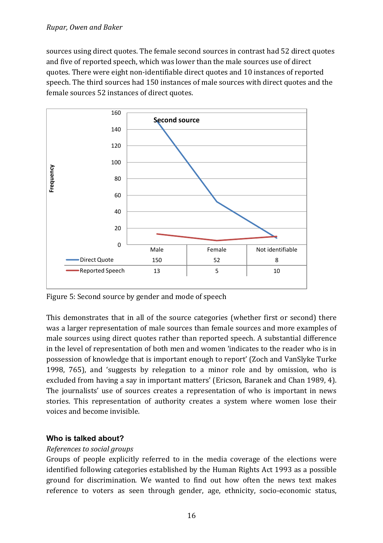## *Rupar, Owen and Baker*

sources using direct quotes. The female second sources in contrast had 52 direct quotes and five of reported speech, which was lower than the male sources use of direct quotes. There were eight non-identifiable direct quotes and 10 instances of reported speech. The third sources had 150 instances of male sources with direct quotes and the female sources 52 instances of direct quotes.



Figure 5: Second source by gender and mode of speech

This demonstrates that in all of the source categories (whether first or second) there was a larger representation of male sources than female sources and more examples of male sources using direct quotes rather than reported speech. A substantial difference in the level of representation of both men and women 'indicates to the reader who is in possession of knowledge that is important enough to report' (Zoch and VanSlyke Turke 1998, 765), and 'suggests by relegation to a minor role and by omission, who is excluded from having a say in important matters' (Ericson, Baranek and Chan 1989, 4). The journalists' use of sources creates a representation of who is important in news stories. This representation of authority creates a system where women lose their voices and become invisible.

# **Who is talked about?**

## *References to social aroups*

Groups of people explicitly referred to in the media coverage of the elections were identified following categories established by the Human Rights Act 1993 as a possible ground for discrimination. We wanted to find out how often the news text makes reference to voters as seen through gender, age, ethnicity, socio-economic status,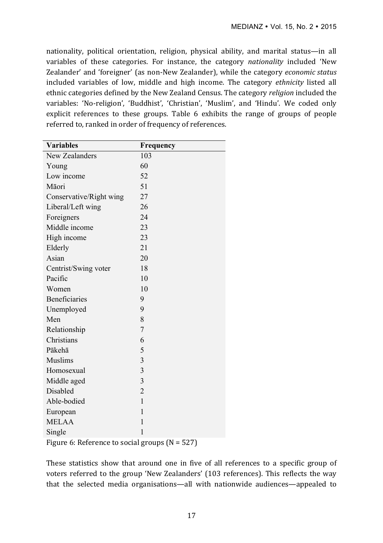nationality, political orientation, religion, physical ability, and marital status—in all variables of these categories. For instance, the category *nationality* included 'New Zealander' and 'foreigner' (as non-New Zealander), while the category *economic status* included variables of low, middle and high income. The category *ethnicity* listed all ethnic categories defined by the New Zealand Census. The category *religion* included the variables: 'No-religion', 'Buddhist', 'Christian', 'Muslim', and 'Hindu'. We coded only explicit references to these groups. Table 6 exhibits the range of groups of people referred to, ranked in order of frequency of references.

| <b>Variables</b>        | Frequency               |
|-------------------------|-------------------------|
| <b>New Zealanders</b>   | 103                     |
| Young                   | 60                      |
| Low income              | 52                      |
| Māori                   | 51                      |
| Conservative/Right wing | 27                      |
| Liberal/Left wing       | 26                      |
| Foreigners              | 24                      |
| Middle income           | 23                      |
| High income             | 23                      |
| Elderly                 | 21                      |
| Asian                   | 20                      |
| Centrist/Swing voter    | 18                      |
| Pacific                 | 10                      |
| Women                   | 10                      |
| <b>Beneficiaries</b>    | 9                       |
| Unemployed              | 9                       |
| Men                     | 8                       |
| Relationship            | $\overline{7}$          |
| Christians              | 6                       |
| Pākehā                  | 5                       |
| <b>Muslims</b>          | 3                       |
| Homosexual              | $\overline{\mathbf{3}}$ |
| Middle aged             | $\overline{3}$          |
| Disabled                | $\overline{2}$          |
| Able-bodied             | $\mathbf{1}$            |
| European                | $\mathbf{1}$            |
| <b>MELAA</b>            | $\mathbf{1}$            |
| Single                  | 1                       |
|                         |                         |

Figure 6: Reference to social groups  $(N = 527)$ 

These statistics show that around one in five of all references to a specific group of voters referred to the group 'New Zealanders' (103 references). This reflects the way that the selected media organisations—all with nationwide audiences—appealed to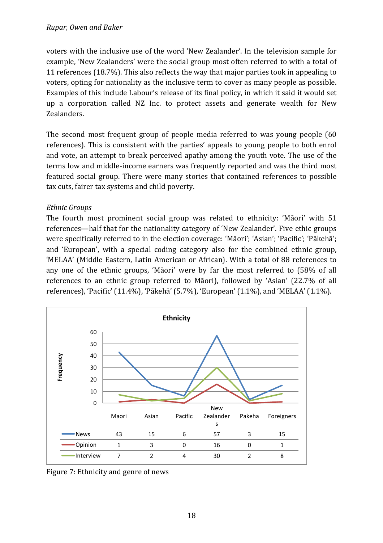voters with the inclusive use of the word 'New Zealander'. In the television sample for example, 'New Zealanders' were the social group most often referred to with a total of 11 references (18.7%). This also reflects the way that major parties took in appealing to voters, opting for nationality as the inclusive term to cover as many people as possible. Examples of this include Labour's release of its final policy, in which it said it would set up a corporation called NZ Inc. to protect assets and generate wealth for New Zealanders. 

The second most frequent group of people media referred to was young people  $(60)$ references). This is consistent with the parties' appeals to young people to both enrol and vote, an attempt to break perceived apathy among the youth vote. The use of the terms low and middle-income earners was frequently reported and was the third most featured social group. There were many stories that contained references to possible tax cuts, fairer tax systems and child poverty.

# *Ethnic Groups*

The fourth most prominent social group was related to ethnicity: 'Māori' with 51 references—half that for the nationality category of 'New Zealander'. Five ethic groups were specifically referred to in the election coverage: 'Māori'; 'Asian'; 'Pacific'; 'Pākehā'; and 'European', with a special coding category also for the combined ethnic group, 'MELAA' (Middle Eastern, Latin American or African). With a total of 88 references to any one of the ethnic groups, 'Māori' were by far the most referred to (58% of all references to an ethnic group referred to Māori), followed by 'Asian' (22.7% of all references), 'Pacific' (11.4%), 'Pākehā' (5.7%), 'European' (1.1%), and 'MELAA' (1.1%).



Figure 7: Ethnicity and genre of news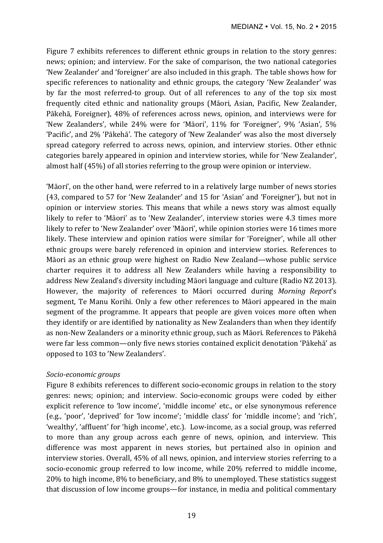Figure 7 exhibits references to different ethnic groups in relation to the story genres: news; opinion; and interview. For the sake of comparison, the two national categories 'New Zealander' and 'foreigner' are also included in this graph. The table shows how for specific references to nationality and ethnic groups, the category 'New Zealander' was by far the most referred-to group. Out of all references to any of the top six most frequently cited ethnic and nationality groups (Māori, Asian, Pacific, New Zealander, Pākehā, Foreigner), 48% of references across news, opinion, and interviews were for 'New Zealanders', while 24% were for 'Māori', 11% for 'Foreigner', 9% 'Asian', 5% 'Pacific', and 2% 'Pākehā'. The category of 'New Zealander' was also the most diversely spread category referred to across news, opinion, and interview stories. Other ethnic categories barely appeared in opinion and interview stories, while for 'New Zealander', almost half  $(45%)$  of all stories referring to the group were opinion or interview.

'Māori', on the other hand, were referred to in a relatively large number of news stories (43, compared to 57 for 'New Zealander' and 15 for 'Asian' and 'Foreigner'), but not in opinion or interview stories. This means that while a news story was almost equally likely to refer to 'Māori' as to 'New Zealander', interview stories were 4.3 times more likely to refer to 'New Zealander' over 'Māori', while opinion stories were 16 times more likely. These interview and opinion ratios were similar for 'Foreigner', while all other ethnic groups were barely referenced in opinion and interview stories. References to Māori as an ethnic group were highest on Radio New Zealand—whose public service charter requires it to address all New Zealanders while having a responsibility to address New Zealand's diversity including Māori language and culture (Radio NZ 2013). However, the majority of references to Māori occurred during *Morning Report's* segment, Te Manu Korihi. Only a few other references to Māori appeared in the main segment of the programme. It appears that people are given voices more often when they identify or are identified by nationality as New Zealanders than when they identify as non-New Zealanders or a minority ethnic group, such as Māori. References to Pākehā were far less common—only five news stories contained explicit denotation 'Pākehā' as opposed to 103 to 'New Zealanders'.

## *Socio-economic groups*

Figure 8 exhibits references to different socio-economic groups in relation to the story genres: news; opinion; and interview. Socio-economic groups were coded by either explicit reference to 'low income', 'middle income' etc., or else synonymous reference (e.g., 'poor', 'deprived' for 'low income'; 'middle class' for 'middle income'; and 'rich', 'wealthy', 'affluent' for 'high income', etc.). Low-income, as a social group, was referred to more than any group across each genre of news, opinion, and interview. This difference was most apparent in news stories, but pertained also in opinion and interview stories. Overall, 45% of all news, opinion, and interview stories referring to a socio-economic group referred to low income, while 20% referred to middle income,  $20\%$  to high income,  $8\%$  to beneficiary, and  $8\%$  to unemployed. These statistics suggest that discussion of low income groups—for instance, in media and political commentary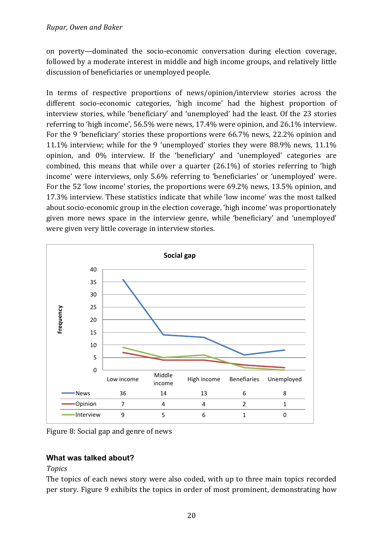on poverty—dominated the socio-economic conversation during election coverage, followed by a moderate interest in middle and high income groups, and relatively little discussion of beneficiaries or unemployed people.

In terms of respective proportions of news/opinion/interview stories across the different socio-economic categories, 'high income' had the highest proportion of interview stories, while 'beneficiary' and 'unemployed' had the least. Of the 23 stories referring to 'high income',  $56.5\%$  were news,  $17.4\%$  were opinion, and  $26.1\%$  interview. For the 9 'beneficiary' stories these proportions were 66.7% news, 22.2% opinion and 11.1% interview; while for the 9 'unemployed' stories they were  $88.9\%$  news,  $11.1\%$ opinion, and 0% interview. If the 'beneficiary' and 'unemployed' categories are combined, this means that while over a quarter  $(26.1\%)$  of stories referring to 'high income' were interviews, only 5.6% referring to 'beneficiaries' or 'unemployed' were. For the 52 'low income' stories, the proportions were 69.2% news, 13.5% opinion, and 17.3% interview. These statistics indicate that while 'low income' was the most talked about socio-economic group in the election coverage, 'high income' was proportionately given more news space in the interview genre, while 'beneficiary' and 'unemployed' were given very little coverage in interview stories.



Figure 8: Social gap and genre of news

# **What was talked about?**

## *Topics*

The topics of each news story were also coded, with up to three main topics recorded per story. Figure 9 exhibits the topics in order of most prominent, demonstrating how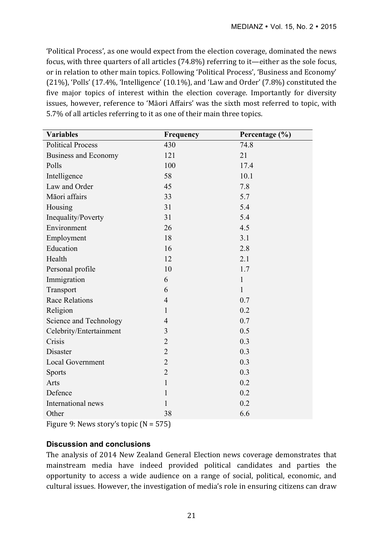'Political Process', as one would expect from the election coverage, dominated the news focus, with three quarters of all articles  $(74.8\%)$  referring to it—either as the sole focus, or in relation to other main topics. Following 'Political Process', 'Business and Economy'  $(21\%)$ , 'Polls' (17.4%, 'Intelligence' (10.1%), and 'Law and Order' (7.8%) constituted the five major topics of interest within the election coverage. Importantly for diversity issues, however, reference to 'Māori Affairs' was the sixth most referred to topic, with 5.7% of all articles referring to it as one of their main three topics.

| <b>Variables</b>            | Frequency      | Percentage (%) |
|-----------------------------|----------------|----------------|
| <b>Political Process</b>    | 430            | 74.8           |
| <b>Business and Economy</b> | 121            | 21             |
| Polls                       | 100            | 17.4           |
| Intelligence                | 58             | 10.1           |
| Law and Order               | 45             | 7.8            |
| Māori affairs               | 33             | 5.7            |
| Housing                     | 31             | 5.4            |
| Inequality/Poverty          | 31             | 5.4            |
| Environment                 | 26             | 4.5            |
| Employment                  | 18             | 3.1            |
| Education                   | 16             | 2.8            |
| Health                      | 12             | 2.1            |
| Personal profile            | 10             | 1.7            |
| Immigration                 | 6              | $\mathbf{1}$   |
| Transport                   | 6              | $\mathbf{1}$   |
| <b>Race Relations</b>       | $\overline{4}$ | 0.7            |
| Religion                    | 1              | 0.2            |
| Science and Technology      | $\overline{4}$ | 0.7            |
| Celebrity/Entertainment     | 3              | 0.5            |
| Crisis                      | $\overline{2}$ | 0.3            |
| Disaster                    | $\overline{2}$ | 0.3            |
| <b>Local Government</b>     | $\overline{2}$ | 0.3            |
| <b>Sports</b>               | $\overline{2}$ | 0.3            |
| Arts                        | $\mathbf{1}$   | 0.2            |
| Defence                     | 1              | 0.2            |
| International news          | 1              | 0.2            |
| Other                       | 38             | 6.6            |
|                             |                |                |

Figure 9: News story's topic  $(N = 575)$ 

## **Discussion and conclusions**

The analysis of 2014 New Zealand General Election news coverage demonstrates that mainstream media have indeed provided political candidates and parties the opportunity to access a wide audience on a range of social, political, economic, and cultural issues. However, the investigation of media's role in ensuring citizens can draw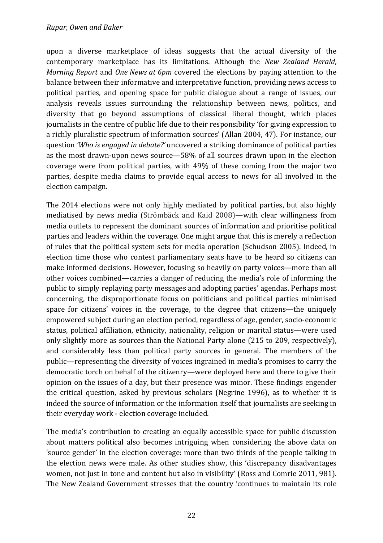#### *Rupar, Owen and Baker*

upon a diverse marketplace of ideas suggests that the actual diversity of the contemporary marketplace has its limitations. Although the *New Zealand Herald*, *Morning Report* and *One News at 6pm* covered the elections by paying attention to the balance between their informative and interpretative function, providing news access to political parties, and opening space for public dialogue about a range of issues, our analysis reveals issues surrounding the relationship between news, politics, and diversity that go beyond assumptions of classical liberal thought, which places journalists in the centre of public life due to their responsibility 'for giving expression to a richly pluralistic spectrum of information sources' (Allan 2004, 47). For instance, our question *'Who is engaged in debate?'* uncovered a striking dominance of political parties as the most drawn-upon news source—58% of all sources drawn upon in the election coverage were from political parties, with  $49\%$  of these coming from the major two parties, despite media claims to provide equal access to news for all involved in the election campaign.

The 2014 elections were not only highly mediated by political parties, but also highly mediatised by news media (Strömbäck and Kaid 2008)—with clear willingness from media outlets to represent the dominant sources of information and prioritise political parties and leaders within the coverage. One might argue that this is merely a reflection of rules that the political system sets for media operation (Schudson 2005). Indeed, in election time those who contest parliamentary seats have to be heard so citizens can make informed decisions. However, focusing so heavily on party voices—more than all other voices combined—carries a danger of reducing the media's role of informing the public to simply replaying party messages and adopting parties' agendas. Perhaps most concerning, the disproportionate focus on politicians and political parties minimised space for citizens' voices in the coverage, to the degree that citizens—the uniquely empowered subject during an election period, regardless of age, gender, socio-economic status, political affiliation, ethnicity, nationality, religion or marital status—were used only slightly more as sources than the National Party alone (215 to 209, respectively), and considerably less than political party sources in general. The members of the public—representing the diversity of voices ingrained in media's promises to carry the democratic torch on behalf of the citizenry—were deployed here and there to give their opinion on the issues of a day, but their presence was minor. These findings engender the critical question, asked by previous scholars (Negrine 1996), as to whether it is indeed the source of information or the information itself that journalists are seeking in their everyday work - election coverage included.

The media's contribution to creating an equally accessible space for public discussion about matters political also becomes intriguing when considering the above data on 'source gender' in the election coverage: more than two thirds of the people talking in the election news were male. As other studies show, this 'discrepancy disadvantages women, not just in tone and content but also in visibility' (Ross and Comrie 2011, 981). The New Zealand Government stresses that the country 'continues to maintain its role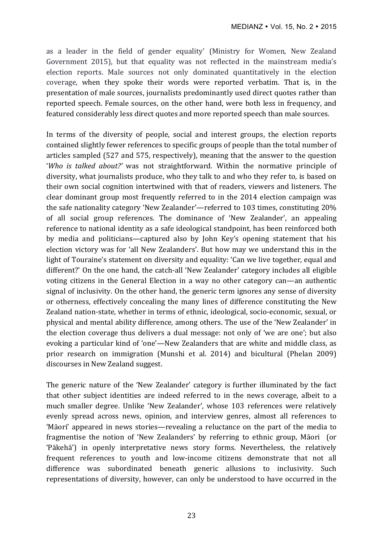as a leader in the field of gender equality' (Ministry for Women, New Zealand Government 2015), but that equality was not reflected in the mainstream media's election reports. Male sources not only dominated quantitatively in the election coverage, when they spoke their words were reported verbatim. That is, in the presentation of male sources, journalists predominantly used direct quotes rather than reported speech. Female sources, on the other hand, were both less in frequency, and featured considerably less direct quotes and more reported speech than male sources.

In terms of the diversity of people, social and interest groups, the election reports contained slightly fewer references to specific groups of people than the total number of articles sampled  $(527 \text{ and } 575, \text{ respectively})$ , meaning that the answer to the question '*Who* is talked about?' was not straightforward. Within the normative principle of diversity, what journalists produce, who they talk to and who they refer to, is based on their own social cognition intertwined with that of readers, viewers and listeners. The clear dominant group most frequently referred to in the 2014 election campaign was the safe nationality category 'New Zealander'—referred to 103 times, constituting 20% of all social group references. The dominance of 'New Zealander', an appealing reference to national identity as a safe ideological standpoint, has been reinforced both by media and politicians—captured also by John Key's opening statement that his election victory was for 'all New Zealanders'. But how may we understand this in the light of Touraine's statement on diversity and equality: 'Can we live together, equal and different?' On the one hand, the catch-all 'New Zealander' category includes all eligible voting citizens in the General Election in a way no other category can—an authentic signal of inclusivity. On the other hand, the generic term ignores any sense of diversity or otherness, effectively concealing the many lines of difference constituting the New Zealand nation-state, whether in terms of ethnic, ideological, socio-economic, sexual, or physical and mental ability difference, among others. The use of the 'New Zealander' in the election coverage thus delivers a dual message: not only of 'we are one'; but also evoking a particular kind of 'one'—New Zealanders that are white and middle class, as prior research on immigration (Munshi et al. 2014) and bicultural (Phelan 2009) discourses in New Zealand suggest.

The generic nature of the 'New Zealander' category is further illuminated by the fact that other subject identities are indeed referred to in the news coverage, albeit to a much smaller degree. Unlike 'New Zealander', whose 103 references were relatively evenly spread across news, opinion, and interview genres, almost all references to 'Māori' appeared in news stories—revealing a reluctance on the part of the media to fragmentise the notion of 'New Zealanders' by referring to ethnic group, Māori (or 'Pākehā') in openly interpretative news story forms. Nevertheless, the relatively frequent references to youth and low-income citizens demonstrate that not all difference was subordinated beneath generic allusions to inclusivity. Such representations of diversity, however, can only be understood to have occurred in the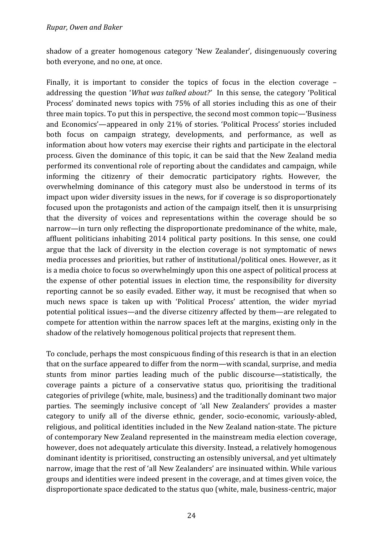shadow of a greater homogenous category 'New Zealander', disingenuously covering both everyone, and no one, at once.

Finally, it is important to consider the topics of focus in the election coverage  $$ addressing the question '*What was talked about?'* In this sense, the category 'Political Process' dominated news topics with 75% of all stories including this as one of their three main topics. To put this in perspective, the second most common topic—'Business and Economics'—appeared in only 21% of stories. 'Political Process' stories included both focus on campaign strategy, developments, and performance, as well as information about how voters may exercise their rights and participate in the electoral process. Given the dominance of this topic, it can be said that the New Zealand media performed its conventional role of reporting about the candidates and campaign, while informing the citizenry of their democratic participatory rights. However, the overwhelming dominance of this category must also be understood in terms of its impact upon wider diversity issues in the news, for if coverage is so disproportionately focused upon the protagonists and action of the campaign itself, then it is unsurprising that the diversity of voices and representations within the coverage should be so narrow—in turn only reflecting the disproportionate predominance of the white, male, affluent politicians inhabiting 2014 political party positions. In this sense, one could argue that the lack of diversity in the election coverage is not symptomatic of news media processes and priorities, but rather of institutional/political ones. However, as it is a media choice to focus so overwhelmingly upon this one aspect of political process at the expense of other potential issues in election time, the responsibility for diversity reporting cannot be so easily evaded. Either way, it must be recognised that when so much news space is taken up with 'Political Process' attention, the wider myriad potential political issues—and the diverse citizenry affected by them—are relegated to compete for attention within the narrow spaces left at the margins, existing only in the shadow of the relatively homogenous political projects that represent them.

To conclude, perhaps the most conspicuous finding of this research is that in an election that on the surface appeared to differ from the norm—with scandal, surprise, and media stunts from minor parties leading much of the public discourse—statistically, the coverage paints a picture of a conservative status quo, prioritising the traditional categories of privilege (white, male, business) and the traditionally dominant two major parties. The seemingly inclusive concept of 'all New Zealanders' provides a master category to unify all of the diverse ethnic, gender, socio-economic, variously-abled, religious, and political identities included in the New Zealand nation-state. The picture of contemporary New Zealand represented in the mainstream media election coverage, however, does not adequately articulate this diversity. Instead, a relatively homogenous dominant identity is prioritised, constructing an ostensibly universal, and yet ultimately narrow, image that the rest of 'all New Zealanders' are insinuated within. While various groups and identities were indeed present in the coverage, and at times given voice, the disproportionate space dedicated to the status quo (white, male, business-centric, major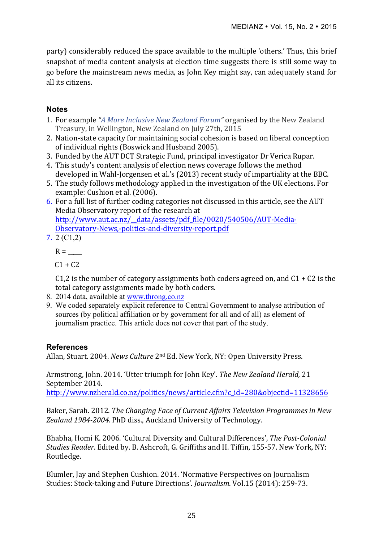party) considerably reduced the space available to the multiple 'others.' Thus, this brief snapshot of media content analysis at election time suggests there is still some way to go before the mainstream news media, as John Key might say, can adequately stand for all its citizens.

# **Notes**

- 1. For example "A More Inclusive New Zealand Forum" organised by the New Zealand Treasury, in Wellington, New Zealand on July 27th, 2015
- 2. Nation-state capacity for maintaining social cohesion is based on liberal conception of individual rights (Boswick and Husband 2005).
- 3. Funded by the AUT DCT Strategic Fund, principal investigator Dr Verica Rupar.
- 4. This study's content analysis of election news coverage follows the method developed in Wahl-Jorgensen et al.'s (2013) recent study of impartiality at the BBC.
- 5. The study follows methodology applied in the investigation of the UK elections. For example: Cushion et al. (2006).
- 6. For a full list of further coding categories not discussed in this article, see the AUT Media Observatory report of the research at http://www.aut.ac.nz/\_\_data/assets/pdf\_file/0020/540506/AUT-Media-Observatory-News,-politics-and-diversity-report.pdf
- 7. 2 (C1,2)
	- $R =$

 $C1 + C2$ 

C1,2 is the number of category assignments both coders agreed on, and  $C1 + C2$  is the total category assignments made by both coders.

- 8. 2014 data, available at www.throng.co.nz
- 9. We coded separately explicit reference to Central Government to analyse attribution of sources (by political affiliation or by government for all and of all) as element of journalism practice. This article does not cover that part of the study.

# **References**

Allan, Stuart. 2004. *News Culture* 2<sup>nd</sup> Ed. New York, NY: Open University Press.

Armstrong, John. 2014. 'Utter triumph for John Key'. The New Zealand Herald, 21 September 2014.

http://www.nzherald.co.nz/politics/news/article.cfm?c\_id=280&objectid=11328656

Baker, Sarah. 2012. *The Changing Face of Current Affairs Television Programmes in New* Zealand 1984-2004. PhD diss., Auckland University of Technology.

Bhabha, Homi K. 2006. 'Cultural Diversity and Cultural Differences', *The Post-Colonial Studies Reader*. Edited by. B. Ashcroft, G. Griffiths and H. Tiffin, 155-57. New York, NY: Routledge. 

Blumler, Jay and Stephen Cushion. 2014. 'Normative Perspectives on Journalism Studies: Stock-taking and Future Directions'. *Journalism*. Vol.15 (2014): 259-73.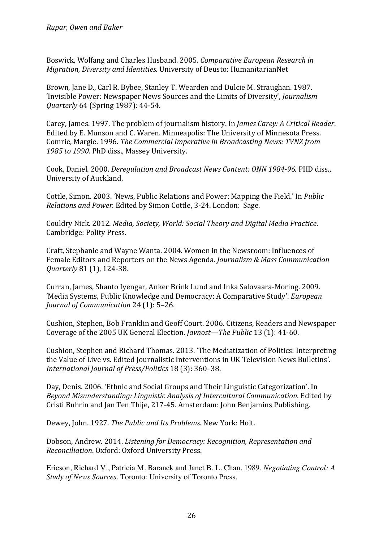Boswick, Wolfang and Charles Husband. 2005. *Comparative European Research in Migration, Diversity and Identities.* University of Deusto: HumanitarianNet

Brown, Jane D., Carl R. Bybee, Stanley T. Wearden and Dulcie M. Straughan. 1987. 'Invisible Power: Newspaper News Sources and the Limits of Diversity', *Journalism Quarterly* 64 (Spring 1987): 44-54.

Carey, James. 1997. The problem of journalism history. In *James Carey: A Critical Reader*. Edited by E. Munson and C. Waren. Minneapolis: The University of Minnesota Press. Comrie, Margie. 1996. *The Commercial Imperative in Broadcasting News: TVNZ from* 1985 to 1990. PhD diss., Massey University.

Cook, Daniel. 2000. *Deregulation and Broadcast News Content: ONN 1984-96.* PHD diss., University of Auckland.

Cottle, Simon. 2003. *'News, Public Relations and Power: Mapping the Field.' In <i>Public Relations and Power.* Edited by Simon Cottle, 3-24. London: Sage.

Couldry Nick. 2012. *Media, Society, World: Social Theory and Digital Media Practice.* Cambridge: Polity Press.

Craft, Stephanie and Wayne Wanta. 2004. Women in the Newsroom: Influences of Female Editors and Reporters on the News Agenda. *Journalism & Mass Communication Quarterly* 81 (1), 124-38.

Curran, James, Shanto Ivengar, Anker Brink Lund and Inka Salovaara-Moring. 2009. 'Media Systems, Public Knowledge and Democracy: A Comparative Study'. *European Journal of Communication* 24 (1): 5–26.

Cushion, Stephen, Bob Franklin and Geoff Court. 2006. Citizens, Readers and Newspaper Coverage of the 2005 UK General Election. *Javnost—The Public* 13 (1): 41-60.

Cushion, Stephen and Richard Thomas. 2013. 'The Mediatization of Politics: Interpreting the Value of Live vs. Edited Journalistic Interventions in UK Television News Bulletins'. *International Journal of Press/Politics* 18 (3): 360–38.

Day, Denis. 2006. 'Ethnic and Social Groups and Their Linguistic Categorization'. In *Beyond Misunderstanding: Linguistic Analysis of Intercultural Communication*. Edited by Cristi Buhrin and Jan Ten Thije, 217-45. Amsterdam: John Benjamins Publishing.

Dewey, John. 1927. *The Public and Its Problems*. New York: Holt.

Dobson, Andrew. 2014. *Listening for Democracy: Recognition, Representation and Reconciliation*. Oxford: Oxford University Press.

Ericson, Richard V., Patricia M. Baranek and Janet B. L. Chan. 1989. *Negotiating Control: A Study of News Sources.* Toronto: University of Toronto Press.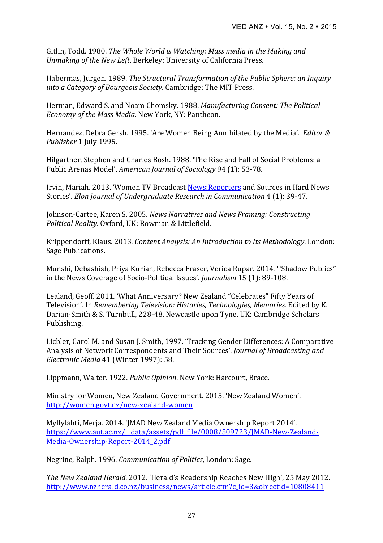Gitlin, Todd. 1980. *The Whole World is Watching: Mass media in the Making and Unmaking of the New Left.* Berkeley: University of California Press.

Habermas, Jurgen. 1989. *The Structural Transformation of the Public Sphere: an Inquiry into a Category of Bourgeois Society*. Cambridge: The MIT Press.

Herman, Edward S. and Noam Chomsky. 1988. Manufacturing Consent: The Political *Economy of the Mass Media*. New York, NY: Pantheon.

Hernandez, Debra Gersh. 1995. 'Are Women Being Annihilated by the Media'. *Editor &* Publisher 1 July 1995.

Hilgartner, Stephen and Charles Bosk. 1988. 'The Rise and Fall of Social Problems: a Public Arenas Model'. *American Journal of Sociology* 94 (1): 53-78.

Irvin, Mariah. 2013. 'Women TV Broadcast News: Reporters and Sources in Hard News Stories'. *Elon Journal of Undergraduate Research in Communication* 4 (1): 39-47.

Johnson-Cartee, Karen S. 2005. *News Narratives and News Framing: Constructing Political Reality*. Oxford, UK: Rowman & Littlefield.

Krippendorff, Klaus. 2013. *Content Analysis: An Introduction to Its Methodology*. London: Sage Publications.

Munshi, Debashish, Priya Kurian, Rebecca Fraser, Verica Rupar. 2014. "Shadow Publics" in the News Coverage of Socio-Political Issues'. *Journalism* 15 (1): 89-108.

Lealand, Geoff. 2011. 'What Anniversary? New Zealand "Celebrates" Fifty Years of Television'. In *Remembering Television: Histories, Technologies, Memories.* Edited by K. Darian-Smith & S. Turnbull, 228-48. Newcastle upon Tyne, UK: Cambridge Scholars Publishing.

Licbler, Carol M. and Susan J. Smith, 1997. 'Tracking Gender Differences: A Comparative Analysis of Network Correspondents and Their Sources'. *Journal of Broadcasting and Electronic Media* 41 (Winter 1997): 58.

Lippmann, Walter, 1922. *Public Opinion*, New York: Harcourt, Brace.

Ministry for Women, New Zealand Government. 2015. 'New Zealand Women'. http://women.govt.nz/new-zealand-women

Myllylahti, Meria. 2014. 'IMAD New Zealand Media Ownership Report 2014'. https://www.aut.ac.nz/\_\_data/assets/pdf\_file/0008/509723/JMAD-New-Zealand-Media-Ownership-Report-2014\_2.pdf

Negrine, Ralph. 1996. *Communication of Politics*, London: Sage.

*The New Zealand Herald.* 2012. 'Herald's Readership Reaches New High', 25 May 2012. http://www.nzherald.co.nz/business/news/article.cfm?c\_id=3&objectid=10808411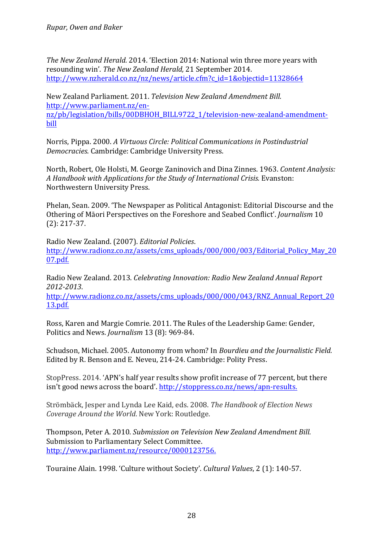*The New Zealand Herald.* 2014. 'Election 2014: National win three more years with resounding win'. *The New Zealand Herald*, 21 September 2014. http://www.nzherald.co.nz/nz/news/article.cfm?c\_id=1&objectid=11328664

New Zealand Parliament. 2011. *Television New Zealand Amendment Bill.* http://www.parliament.nz/ennz/pb/legislation/bills/00DBHOH\_BILL9722\_1/television-new-zealand-amendmentbill

Norris, Pippa. 2000. A Virtuous Circle: Political Communications in Postindustrial *Democracies.* Cambridge: Cambridge University Press.

North, Robert, Ole Holsti, M. George Zaninovich and Dina Zinnes. 1963. *Content Analysis: A Handbook with Applications for the Study of International Crisis.* Evanston: Northwestern University Press.

Phelan, Sean. 2009. 'The Newspaper as Political Antagonist: Editorial Discourse and the Othering of Māori Perspectives on the Foreshore and Seabed Conflict'. *Journalism* 10 (2): 217-37.

Radio New Zealand. (2007). *Editorial Policies*. http://www.radionz.co.nz/assets/cms\_uploads/000/000/003/Editorial\_Policy\_May\_20 07.pdf.

Radio New Zealand. 2013. *Celebrating Innovation: Radio New Zealand Annual Report 2012-2013*.

http://www.radionz.co.nz/assets/cms\_uploads/000/000/043/RNZ\_Annual\_Report\_20 13.pdf.

Ross, Karen and Margie Comrie. 2011. The Rules of the Leadership Game: Gender, Politics and News. *Journalism* 13 (8): 969-84.

Schudson, Michael. 2005. Autonomy from whom? In *Bourdieu and the Journalistic Field.* Edited by R. Benson and E. Neveu, 214-24. Cambridge: Polity Press.

StopPress, 2014. 'APN's half year results show profit increase of 77 percent, but there isn't good news across the board'. http://stoppress.co.nz/news/apn-results.

Strömbäck, Jesper and Lynda Lee Kaid, eds. 2008. *The Handbook of Election News Coverage Around the World*. New York: Routledge.

Thompson, Peter A. 2010. *Submission on Television New Zealand Amendment Bill.* Submission to Parliamentary Select Committee. http://www.parliament.nz/resource/0000123756.

Touraine Alain. 1998. 'Culture without Society'. *Cultural Values*, 2 (1): 140-57.